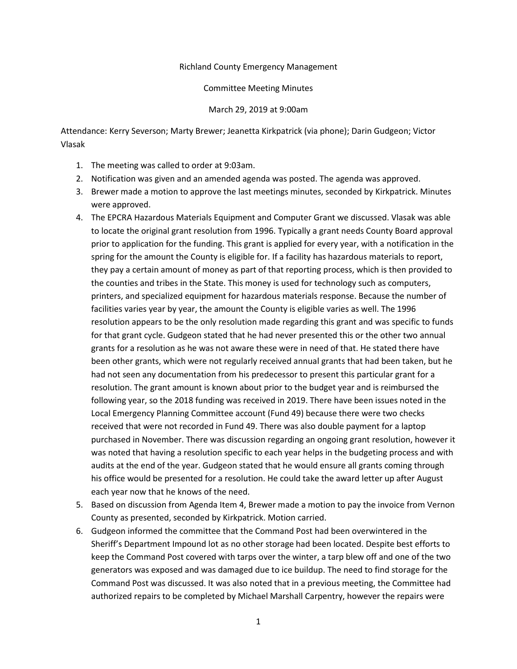## Richland County Emergency Management

## Committee Meeting Minutes

## March 29, 2019 at 9:00am

Attendance: Kerry Severson; Marty Brewer; Jeanetta Kirkpatrick (via phone); Darin Gudgeon; Victor Vlasak

- 1. The meeting was called to order at 9:03am.
- 2. Notification was given and an amended agenda was posted. The agenda was approved.
- 3. Brewer made a motion to approve the last meetings minutes, seconded by Kirkpatrick. Minutes were approved.
- 4. The EPCRA Hazardous Materials Equipment and Computer Grant we discussed. Vlasak was able to locate the original grant resolution from 1996. Typically a grant needs County Board approval prior to application for the funding. This grant is applied for every year, with a notification in the spring for the amount the County is eligible for. If a facility has hazardous materials to report, they pay a certain amount of money as part of that reporting process, which is then provided to the counties and tribes in the State. This money is used for technology such as computers, printers, and specialized equipment for hazardous materials response. Because the number of facilities varies year by year, the amount the County is eligible varies as well. The 1996 resolution appears to be the only resolution made regarding this grant and was specific to funds for that grant cycle. Gudgeon stated that he had never presented this or the other two annual grants for a resolution as he was not aware these were in need of that. He stated there have been other grants, which were not regularly received annual grants that had been taken, but he had not seen any documentation from his predecessor to present this particular grant for a resolution. The grant amount is known about prior to the budget year and is reimbursed the following year, so the 2018 funding was received in 2019. There have been issues noted in the Local Emergency Planning Committee account (Fund 49) because there were two checks received that were not recorded in Fund 49. There was also double payment for a laptop purchased in November. There was discussion regarding an ongoing grant resolution, however it was noted that having a resolution specific to each year helps in the budgeting process and with audits at the end of the year. Gudgeon stated that he would ensure all grants coming through his office would be presented for a resolution. He could take the award letter up after August each year now that he knows of the need.
- 5. Based on discussion from Agenda Item 4, Brewer made a motion to pay the invoice from Vernon County as presented, seconded by Kirkpatrick. Motion carried.
- 6. Gudgeon informed the committee that the Command Post had been overwintered in the Sheriff's Department Impound lot as no other storage had been located. Despite best efforts to keep the Command Post covered with tarps over the winter, a tarp blew off and one of the two generators was exposed and was damaged due to ice buildup. The need to find storage for the Command Post was discussed. It was also noted that in a previous meeting, the Committee had authorized repairs to be completed by Michael Marshall Carpentry, however the repairs were